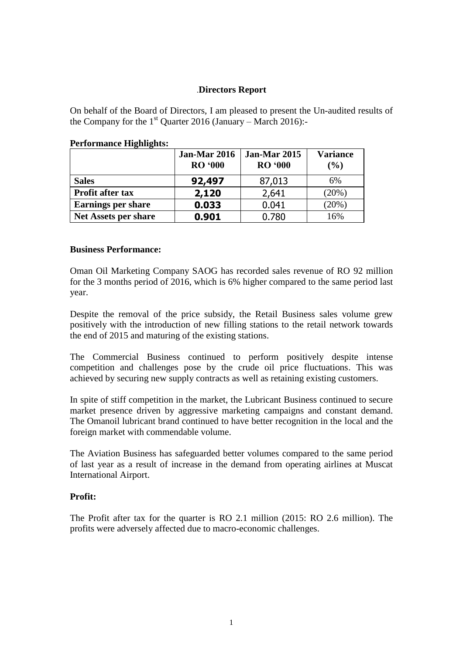## .**Directors Report**

On behalf of the Board of Directors, I am pleased to present the Un-audited results of the Company for the  $1<sup>st</sup>$  Quarter 2016 (January – March 2016):-

|                             | <b>Jan-Mar 2016</b><br><b>RO</b> '000 | <b>Jan-Mar 2015</b><br><b>RO</b> '000 | <b>Variance</b><br>$($ %) |
|-----------------------------|---------------------------------------|---------------------------------------|---------------------------|
| <b>Sales</b>                | 92,497                                | 87,013                                | 6%                        |
| <b>Profit after tax</b>     | 2,120                                 | 2,641                                 | (20%)                     |
| <b>Earnings per share</b>   | 0.033                                 | 0.041                                 | (20%)                     |
| <b>Net Assets per share</b> | 0.901                                 | 0.780                                 | 16%                       |

### **Performance Highlights:**

#### **Business Performance:**

Oman Oil Marketing Company SAOG has recorded sales revenue of RO 92 million for the 3 months period of 2016, which is 6% higher compared to the same period last year.

Despite the removal of the price subsidy, the Retail Business sales volume grew positively with the introduction of new filling stations to the retail network towards the end of 2015 and maturing of the existing stations.

The Commercial Business continued to perform positively despite intense competition and challenges pose by the crude oil price fluctuations. This was achieved by securing new supply contracts as well as retaining existing customers.

In spite of stiff competition in the market, the Lubricant Business continued to secure market presence driven by aggressive marketing campaigns and constant demand. The Omanoil lubricant brand continued to have better recognition in the local and the foreign market with commendable volume.

The Aviation Business has safeguarded better volumes compared to the same period of last year as a result of increase in the demand from operating airlines at Muscat International Airport.

### **Profit:**

The Profit after tax for the quarter is RO 2.1 million (2015: RO 2.6 million). The profits were adversely affected due to macro-economic challenges.